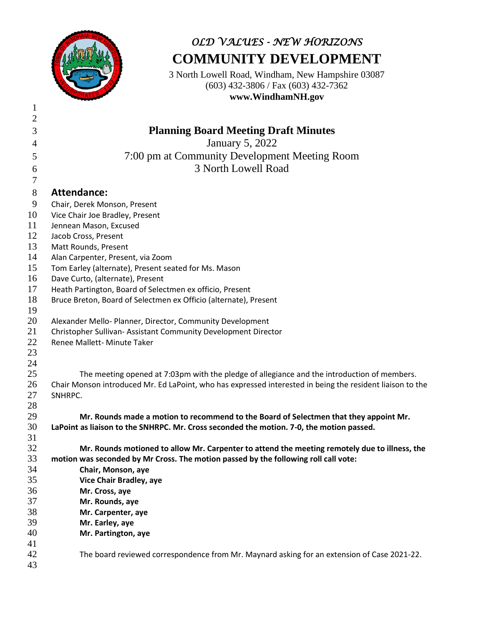

# *OLD VALUES - NEW HORIZONS* **COMMUNITY DEVELOPMENT**

3 North Lowell Road, Windham, New Hampshire 03087 (603) 432-3806 / Fax (603) 432-7362 **www.WindhamNH.gov**

| $\mathbf{2}$   |                                                                                                                      |
|----------------|----------------------------------------------------------------------------------------------------------------------|
| $\mathfrak{Z}$ | <b>Planning Board Meeting Draft Minutes</b>                                                                          |
| 4              | <b>January 5, 2022</b>                                                                                               |
| 5              | 7:00 pm at Community Development Meeting Room                                                                        |
| 6              | 3 North Lowell Road                                                                                                  |
| $\tau$         |                                                                                                                      |
| $8\,$          | <b>Attendance:</b>                                                                                                   |
| 9              | Chair, Derek Monson, Present                                                                                         |
| 10             | Vice Chair Joe Bradley, Present                                                                                      |
| 11             | Jennean Mason, Excused                                                                                               |
| 12             | Jacob Cross, Present                                                                                                 |
| 13             | Matt Rounds, Present                                                                                                 |
| 14             | Alan Carpenter, Present, via Zoom                                                                                    |
| 15             | Tom Earley (alternate), Present seated for Ms. Mason                                                                 |
| 16             | Dave Curto, (alternate), Present                                                                                     |
| 17             | Heath Partington, Board of Selectmen ex officio, Present                                                             |
| 18             | Bruce Breton, Board of Selectmen ex Officio (alternate), Present                                                     |
| 19             |                                                                                                                      |
| 20             | Alexander Mello- Planner, Director, Community Development                                                            |
| 21             | Christopher Sullivan- Assistant Community Development Director                                                       |
| 22             | Renee Mallett- Minute Taker                                                                                          |
| 23             |                                                                                                                      |
| 24             |                                                                                                                      |
| 25<br>26       | The meeting opened at 7:03pm with the pledge of allegiance and the introduction of members.                          |
| 27             | Chair Monson introduced Mr. Ed LaPoint, who has expressed interested in being the resident liaison to the<br>SNHRPC. |
| 28             |                                                                                                                      |
| 29             | Mr. Rounds made a motion to recommend to the Board of Selectmen that they appoint Mr.                                |
| 30             | LaPoint as liaison to the SNHRPC. Mr. Cross seconded the motion. 7-0, the motion passed.                             |
| 31             |                                                                                                                      |
| 32             | Mr. Rounds motioned to allow Mr. Carpenter to attend the meeting remotely due to illness, the                        |
| 33             | motion was seconded by Mr Cross. The motion passed by the following roll call vote:                                  |
| 34             | Chair, Monson, aye                                                                                                   |
| 35             | Vice Chair Bradley, aye                                                                                              |
| 36             | Mr. Cross, aye                                                                                                       |
| 37             | Mr. Rounds, aye                                                                                                      |
| 38             | Mr. Carpenter, aye                                                                                                   |
| 39             | Mr. Earley, aye                                                                                                      |
| 40             | Mr. Partington, aye                                                                                                  |
| 41             |                                                                                                                      |
| 42             | The board reviewed correspondence from Mr. Maynard asking for an extension of Case 2021-22.                          |
| 43             |                                                                                                                      |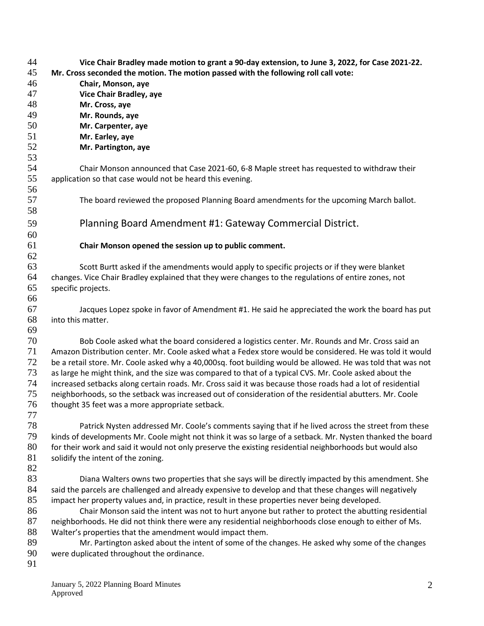| 44 | Vice Chair Bradley made motion to grant a 90-day extension, to June 3, 2022, for Case 2021-22.              |
|----|-------------------------------------------------------------------------------------------------------------|
| 45 | Mr. Cross seconded the motion. The motion passed with the following roll call vote:                         |
| 46 | Chair, Monson, aye                                                                                          |
| 47 | Vice Chair Bradley, aye                                                                                     |
| 48 | Mr. Cross, aye                                                                                              |
| 49 | Mr. Rounds, aye                                                                                             |
| 50 | Mr. Carpenter, aye                                                                                          |
| 51 | Mr. Earley, aye                                                                                             |
| 52 | Mr. Partington, aye                                                                                         |
| 53 |                                                                                                             |
| 54 | Chair Monson announced that Case 2021-60, 6-8 Maple street has requested to withdraw their                  |
| 55 | application so that case would not be heard this evening.                                                   |
| 56 |                                                                                                             |
| 57 | The board reviewed the proposed Planning Board amendments for the upcoming March ballot.                    |
| 58 |                                                                                                             |
| 59 | Planning Board Amendment #1: Gateway Commercial District.                                                   |
|    |                                                                                                             |
| 60 |                                                                                                             |
| 61 | Chair Monson opened the session up to public comment.                                                       |
| 62 |                                                                                                             |
| 63 | Scott Burtt asked if the amendments would apply to specific projects or if they were blanket                |
| 64 | changes. Vice Chair Bradley explained that they were changes to the regulations of entire zones, not        |
| 65 | specific projects.                                                                                          |
| 66 |                                                                                                             |
| 67 | Jacques Lopez spoke in favor of Amendment #1. He said he appreciated the work the board has put             |
| 68 | into this matter.                                                                                           |
| 69 |                                                                                                             |
| 70 | Bob Coole asked what the board considered a logistics center. Mr. Rounds and Mr. Cross said an              |
| 71 | Amazon Distribution center. Mr. Coole asked what a Fedex store would be considered. He was told it would    |
| 72 | be a retail store. Mr. Coole asked why a 40,000sq. foot building would be allowed. He was told that was not |
| 73 | as large he might think, and the size was compared to that of a typical CVS. Mr. Coole asked about the      |
| 74 | increased setbacks along certain roads. Mr. Cross said it was because those roads had a lot of residential  |
| 75 | neighborhoods, so the setback was increased out of consideration of the residential abutters. Mr. Coole     |
| 76 | thought 35 feet was a more appropriate setback.                                                             |
| 77 |                                                                                                             |
| 78 | Patrick Nysten addressed Mr. Coole's comments saying that if he lived across the street from these          |
| 79 | kinds of developments Mr. Coole might not think it was so large of a setback. Mr. Nysten thanked the board  |
| 80 | for their work and said it would not only preserve the existing residential neighborhoods but would also    |
| 81 | solidify the intent of the zoning.                                                                          |
| 82 |                                                                                                             |
| 83 | Diana Walters owns two properties that she says will be directly impacted by this amendment. She            |
| 84 | said the parcels are challenged and already expensive to develop and that these changes will negatively     |
| 85 | impact her property values and, in practice, result in these properties never being developed.              |
| 86 | Chair Monson said the intent was not to hurt anyone but rather to protect the abutting residential          |
| 87 | neighborhoods. He did not think there were any residential neighborhoods close enough to either of Ms.      |
| 88 | Walter's properties that the amendment would impact them.                                                   |
| 89 | Mr. Partington asked about the intent of some of the changes. He asked why some of the changes              |
| 90 | were duplicated throughout the ordinance.                                                                   |
| 91 |                                                                                                             |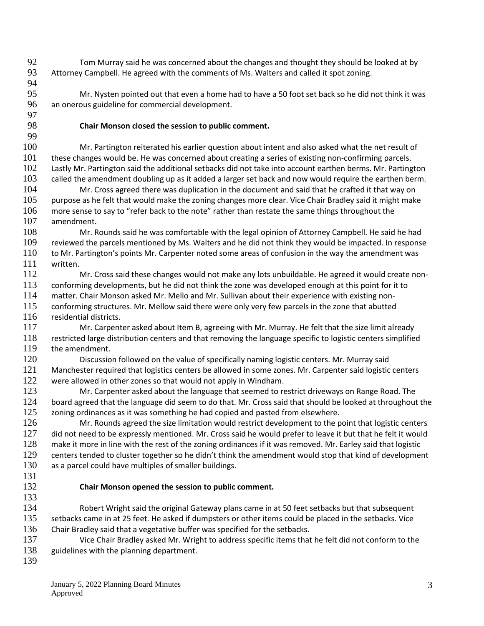- Tom Murray said he was concerned about the changes and thought they should be looked at by Attorney Campbell. He agreed with the comments of Ms. Walters and called it spot zoning.
- 

 Mr. Nysten pointed out that even a home had to have a 50 foot set back so he did not think it was an onerous guideline for commercial development.

## **Chair Monson closed the session to public comment.**

 Mr. Partington reiterated his earlier question about intent and also asked what the net result of these changes would be. He was concerned about creating a series of existing non-confirming parcels. Lastly Mr. Partington said the additional setbacks did not take into account earthen berms. Mr. Partington 103 called the amendment doubling up as it added a larger set back and now would require the earthen berm. Mr. Cross agreed there was duplication in the document and said that he crafted it that way on purpose as he felt that would make the zoning changes more clear. Vice Chair Bradley said it might make more sense to say to "refer back to the note" rather than restate the same things throughout the amendment. Mr. Rounds said he was comfortable with the legal opinion of Attorney Campbell. He said he had reviewed the parcels mentioned by Ms. Walters and he did not think they would be impacted. In response

 to Mr. Partington's points Mr. Carpenter noted some areas of confusion in the way the amendment was written.

 Mr. Cross said these changes would not make any lots unbuildable. He agreed it would create non- conforming developments, but he did not think the zone was developed enough at this point for it to matter. Chair Monson asked Mr. Mello and Mr. Sullivan about their experience with existing non-conforming structures. Mr. Mellow said there were only very few parcels in the zone that abutted

116 residential districts.

 Mr. Carpenter asked about Item B, agreeing with Mr. Murray. He felt that the size limit already 118 restricted large distribution centers and that removing the language specific to logistic centers simplified<br>119 the amendment. the amendment.

 Discussion followed on the value of specifically naming logistic centers. Mr. Murray said Manchester required that logistics centers be allowed in some zones. Mr. Carpenter said logistic centers 122 were allowed in other zones so that would not apply in Windham.

123 Mr. Carpenter asked about the language that seemed to restrict driveways on Range Road. The board agreed that the language did seem to do that. Mr. Cross said that should be looked at throughout the zoning ordinances as it was something he had copied and pasted from elsewhere.

 Mr. Rounds agreed the size limitation would restrict development to the point that logistic centers 127 did not need to be expressly mentioned. Mr. Cross said he would prefer to leave it but that he felt it would make it more in line with the rest of the zoning ordinances if it was removed. Mr. Earley said that logistic centers tended to cluster together so he didn't think the amendment would stop that kind of development 130 as a parcel could have multiples of smaller buildings.

## **Chair Monson opened the session to public comment.**

 Robert Wright said the original Gateway plans came in at 50 feet setbacks but that subsequent 135 setbacks came in at 25 feet. He asked if dumpsters or other items could be placed in the setbacks. Vice Chair Bradley said that a vegetative buffer was specified for the setbacks.

 Vice Chair Bradley asked Mr. Wright to address specific items that he felt did not conform to the 138 guidelines with the planning department.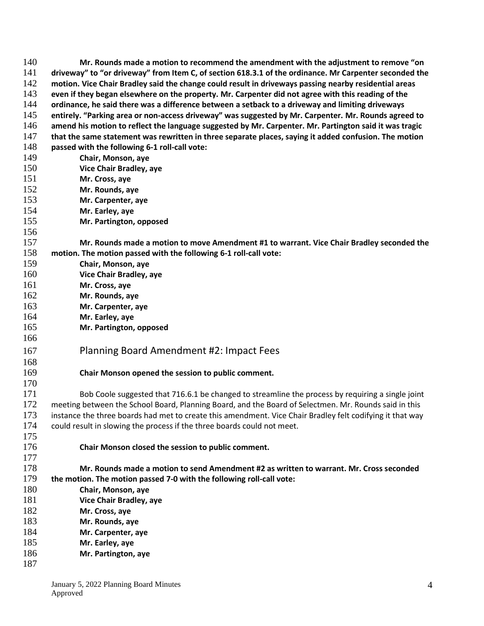| 140        | Mr. Rounds made a motion to recommend the amendment with the adjustment to remove "on                                                                           |
|------------|-----------------------------------------------------------------------------------------------------------------------------------------------------------------|
| 141        | driveway" to "or driveway" from Item C, of section 618.3.1 of the ordinance. Mr Carpenter seconded the                                                          |
| 142        | motion. Vice Chair Bradley said the change could result in driveways passing nearby residential areas                                                           |
| 143        | even if they began elsewhere on the property. Mr. Carpenter did not agree with this reading of the                                                              |
| 144        | ordinance, he said there was a difference between a setback to a driveway and limiting driveways                                                                |
| 145        | entirely. "Parking area or non-access driveway" was suggested by Mr. Carpenter. Mr. Rounds agreed to                                                            |
| 146        | amend his motion to reflect the language suggested by Mr. Carpenter. Mr. Partington said it was tragic                                                          |
| 147        | that the same statement was rewritten in three separate places, saying it added confusion. The motion                                                           |
| 148        | passed with the following 6-1 roll-call vote:                                                                                                                   |
| 149        | Chair, Monson, aye                                                                                                                                              |
| 150        | Vice Chair Bradley, aye                                                                                                                                         |
| 151        | Mr. Cross, aye                                                                                                                                                  |
| 152        | Mr. Rounds, aye                                                                                                                                                 |
| 153        | Mr. Carpenter, aye                                                                                                                                              |
| 154        | Mr. Earley, aye                                                                                                                                                 |
| 155        | Mr. Partington, opposed                                                                                                                                         |
| 156        |                                                                                                                                                                 |
| 157        | Mr. Rounds made a motion to move Amendment #1 to warrant. Vice Chair Bradley seconded the                                                                       |
| 158        | motion. The motion passed with the following 6-1 roll-call vote:                                                                                                |
| 159        | Chair, Monson, aye                                                                                                                                              |
| 160        | Vice Chair Bradley, aye                                                                                                                                         |
| 161        | Mr. Cross, aye                                                                                                                                                  |
| 162        | Mr. Rounds, aye                                                                                                                                                 |
| 163        | Mr. Carpenter, aye                                                                                                                                              |
| 164        | Mr. Earley, aye                                                                                                                                                 |
| 165        | Mr. Partington, opposed                                                                                                                                         |
| 166        |                                                                                                                                                                 |
| 167        | Planning Board Amendment #2: Impact Fees                                                                                                                        |
| 168        |                                                                                                                                                                 |
| 169        | Chair Monson opened the session to public comment.                                                                                                              |
| 170        |                                                                                                                                                                 |
| 171        | Bob Coole suggested that 716.6.1 be changed to streamline the process by requiring a single joint                                                               |
| 172        | meeting between the School Board, Planning Board, and the Board of Selectmen. Mr. Rounds said in this                                                           |
| 173        |                                                                                                                                                                 |
| 174        | instance the three boards had met to create this amendment. Vice Chair Bradley felt codifying it that way                                                       |
| 175        | could result in slowing the process if the three boards could not meet.                                                                                         |
|            |                                                                                                                                                                 |
| 176        | Chair Monson closed the session to public comment.                                                                                                              |
| 177<br>178 |                                                                                                                                                                 |
| 179        | Mr. Rounds made a motion to send Amendment #2 as written to warrant. Mr. Cross seconded<br>the motion. The motion passed 7-0 with the following roll-call vote: |
| 180        | Chair, Monson, aye                                                                                                                                              |
| 181        | <b>Vice Chair Bradley, aye</b>                                                                                                                                  |
| 182        |                                                                                                                                                                 |
| 183        | Mr. Cross, aye                                                                                                                                                  |
| 184        | Mr. Rounds, aye                                                                                                                                                 |
| 185        | Mr. Carpenter, aye                                                                                                                                              |
| 186        | Mr. Earley, aye                                                                                                                                                 |
|            | Mr. Partington, aye                                                                                                                                             |
| 187        |                                                                                                                                                                 |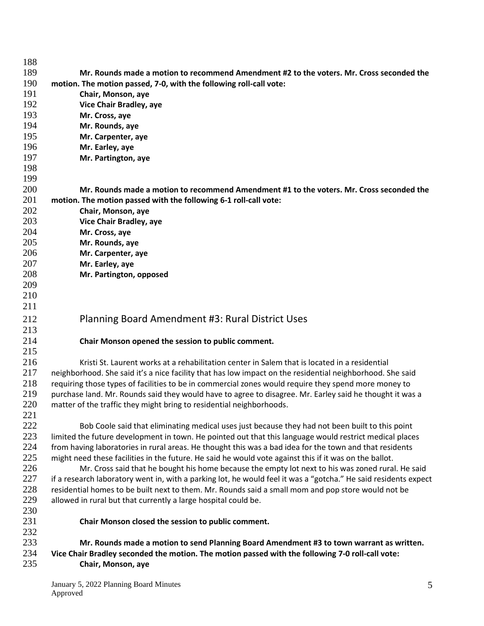| 188 |                                                                                                                 |
|-----|-----------------------------------------------------------------------------------------------------------------|
| 189 | Mr. Rounds made a motion to recommend Amendment #2 to the voters. Mr. Cross seconded the                        |
| 190 | motion. The motion passed, 7-0, with the following roll-call vote:                                              |
| 191 | Chair, Monson, aye                                                                                              |
| 192 | Vice Chair Bradley, aye                                                                                         |
| 193 | Mr. Cross, aye                                                                                                  |
| 194 | Mr. Rounds, aye                                                                                                 |
| 195 | Mr. Carpenter, aye                                                                                              |
| 196 | Mr. Earley, aye                                                                                                 |
| 197 | Mr. Partington, aye                                                                                             |
| 198 |                                                                                                                 |
| 199 |                                                                                                                 |
| 200 |                                                                                                                 |
|     | Mr. Rounds made a motion to recommend Amendment #1 to the voters. Mr. Cross seconded the                        |
| 201 | motion. The motion passed with the following 6-1 roll-call vote:                                                |
| 202 | Chair, Monson, aye                                                                                              |
| 203 | Vice Chair Bradley, aye                                                                                         |
| 204 | Mr. Cross, aye                                                                                                  |
| 205 | Mr. Rounds, aye                                                                                                 |
| 206 | Mr. Carpenter, aye                                                                                              |
| 207 | Mr. Earley, aye                                                                                                 |
| 208 | Mr. Partington, opposed                                                                                         |
| 209 |                                                                                                                 |
| 210 |                                                                                                                 |
| 211 |                                                                                                                 |
| 212 | Planning Board Amendment #3: Rural District Uses                                                                |
| 213 |                                                                                                                 |
| 214 | Chair Monson opened the session to public comment.                                                              |
| 215 |                                                                                                                 |
| 216 | Kristi St. Laurent works at a rehabilitation center in Salem that is located in a residential                   |
| 217 | neighborhood. She said it's a nice facility that has low impact on the residential neighborhood. She said       |
| 218 | requiring those types of facilities to be in commercial zones would require they spend more money to            |
| 219 | purchase land. Mr. Rounds said they would have to agree to disagree. Mr. Earley said he thought it was a        |
| 220 | matter of the traffic they might bring to residential neighborhoods.                                            |
| 221 |                                                                                                                 |
| 222 | Bob Coole said that eliminating medical uses just because they had not been built to this point                 |
| 223 | limited the future development in town. He pointed out that this language would restrict medical places         |
| 224 | from having laboratories in rural areas. He thought this was a bad idea for the town and that residents         |
| 225 | might need these facilities in the future. He said he would vote against this if it was on the ballot.          |
| 226 | Mr. Cross said that he bought his home because the empty lot next to his was zoned rural. He said               |
| 227 |                                                                                                                 |
| 228 | if a research laboratory went in, with a parking lot, he would feel it was a "gotcha." He said residents expect |
|     | residential homes to be built next to them. Mr. Rounds said a small mom and pop store would not be              |
| 229 | allowed in rural but that currently a large hospital could be.                                                  |
| 230 |                                                                                                                 |
| 231 | Chair Monson closed the session to public comment.                                                              |
| 232 |                                                                                                                 |
| 233 | Mr. Rounds made a motion to send Planning Board Amendment #3 to town warrant as written.                        |
| 234 | Vice Chair Bradley seconded the motion. The motion passed with the following 7-0 roll-call vote:                |
| 235 | Chair, Monson, aye                                                                                              |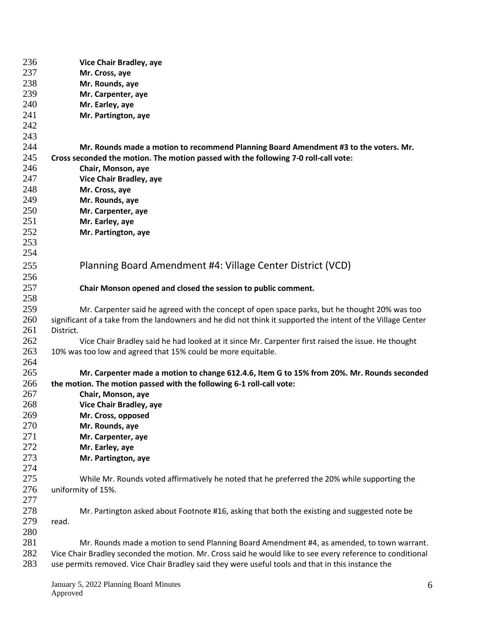| 236 | Vice Chair Bradley, aye                                                                                      |
|-----|--------------------------------------------------------------------------------------------------------------|
| 237 | Mr. Cross, aye                                                                                               |
| 238 | Mr. Rounds, aye                                                                                              |
| 239 | Mr. Carpenter, aye                                                                                           |
| 240 | Mr. Earley, aye                                                                                              |
| 241 | Mr. Partington, aye                                                                                          |
| 242 |                                                                                                              |
| 243 |                                                                                                              |
| 244 | Mr. Rounds made a motion to recommend Planning Board Amendment #3 to the voters. Mr.                         |
| 245 | Cross seconded the motion. The motion passed with the following 7-0 roll-call vote:                          |
| 246 | Chair, Monson, aye                                                                                           |
| 247 | Vice Chair Bradley, aye                                                                                      |
| 248 | Mr. Cross, aye                                                                                               |
| 249 | Mr. Rounds, aye                                                                                              |
| 250 | Mr. Carpenter, aye                                                                                           |
| 251 | Mr. Earley, aye                                                                                              |
| 252 | Mr. Partington, aye                                                                                          |
| 253 |                                                                                                              |
| 254 |                                                                                                              |
| 255 | Planning Board Amendment #4: Village Center District (VCD)                                                   |
|     |                                                                                                              |
| 256 |                                                                                                              |
| 257 | Chair Monson opened and closed the session to public comment.                                                |
| 258 |                                                                                                              |
| 259 | Mr. Carpenter said he agreed with the concept of open space parks, but he thought 20% was too                |
| 260 | significant of a take from the landowners and he did not think it supported the intent of the Village Center |
| 261 | District.                                                                                                    |
| 262 | Vice Chair Bradley said he had looked at it since Mr. Carpenter first raised the issue. He thought           |
| 263 | 10% was too low and agreed that 15% could be more equitable.                                                 |
| 264 |                                                                                                              |
| 265 | Mr. Carpenter made a motion to change 612.4.6, Item G to 15% from 20%. Mr. Rounds seconded                   |
| 266 | the motion. The motion passed with the following 6-1 roll-call vote:                                         |
| 267 | Chair, Monson, aye                                                                                           |
| 268 | <b>Vice Chair Bradley, aye</b>                                                                               |
| 269 | Mr. Cross, opposed                                                                                           |
| 270 | Mr. Rounds, aye                                                                                              |
| 271 | Mr. Carpenter, aye                                                                                           |
| 272 | Mr. Earley, aye                                                                                              |
| 273 | Mr. Partington, aye                                                                                          |
| 274 |                                                                                                              |
| 275 | While Mr. Rounds voted affirmatively he noted that he preferred the 20% while supporting the                 |
| 276 | uniformity of 15%.                                                                                           |
| 277 |                                                                                                              |
| 278 | Mr. Partington asked about Footnote #16, asking that both the existing and suggested note be                 |
| 279 | read.                                                                                                        |
| 280 |                                                                                                              |
| 281 | Mr. Rounds made a motion to send Planning Board Amendment #4, as amended, to town warrant.                   |
| 282 | Vice Chair Bradley seconded the motion. Mr. Cross said he would like to see every reference to conditional   |
| 283 | use permits removed. Vice Chair Bradley said they were useful tools and that in this instance the            |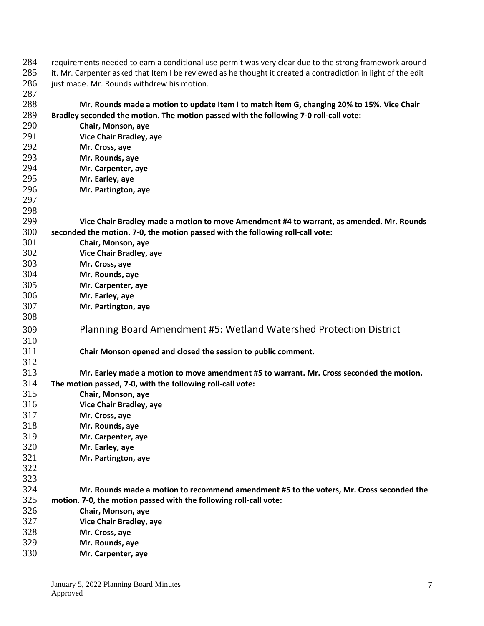| 284 | requirements needed to earn a conditional use permit was very clear due to the strong framework around        |
|-----|---------------------------------------------------------------------------------------------------------------|
| 285 | it. Mr. Carpenter asked that Item I be reviewed as he thought it created a contradiction in light of the edit |
| 286 | just made. Mr. Rounds withdrew his motion.                                                                    |
| 287 |                                                                                                               |
| 288 | Mr. Rounds made a motion to update Item I to match item G, changing 20% to 15%. Vice Chair                    |
| 289 | Bradley seconded the motion. The motion passed with the following 7-0 roll-call vote:                         |
| 290 | Chair, Monson, aye                                                                                            |
| 291 | Vice Chair Bradley, aye                                                                                       |
| 292 | Mr. Cross, aye                                                                                                |
| 293 | Mr. Rounds, aye                                                                                               |
| 294 | Mr. Carpenter, aye                                                                                            |
| 295 | Mr. Earley, aye                                                                                               |
| 296 | Mr. Partington, aye                                                                                           |
| 297 |                                                                                                               |
| 298 |                                                                                                               |
| 299 | Vice Chair Bradley made a motion to move Amendment #4 to warrant, as amended. Mr. Rounds                      |
| 300 | seconded the motion. 7-0, the motion passed with the following roll-call vote:                                |
| 301 | Chair, Monson, aye                                                                                            |
| 302 | Vice Chair Bradley, aye                                                                                       |
| 303 | Mr. Cross, aye                                                                                                |
| 304 | Mr. Rounds, aye                                                                                               |
| 305 | Mr. Carpenter, aye                                                                                            |
| 306 | Mr. Earley, aye                                                                                               |
| 307 | Mr. Partington, aye                                                                                           |
| 308 |                                                                                                               |
| 309 |                                                                                                               |
|     | Planning Board Amendment #5: Wetland Watershed Protection District                                            |
| 310 |                                                                                                               |
| 311 | Chair Monson opened and closed the session to public comment.                                                 |
| 312 |                                                                                                               |
| 313 | Mr. Earley made a motion to move amendment #5 to warrant. Mr. Cross seconded the motion.                      |
| 314 | The motion passed, 7-0, with the following roll-call vote:                                                    |
| 315 | Chair, Monson, aye                                                                                            |
| 316 | <b>Vice Chair Bradley, aye</b>                                                                                |
| 317 | Mr. Cross, aye                                                                                                |
| 318 | Mr. Rounds, aye                                                                                               |
| 319 | Mr. Carpenter, aye                                                                                            |
| 320 | Mr. Earley, aye                                                                                               |
| 321 | Mr. Partington, aye                                                                                           |
| 322 |                                                                                                               |
| 323 |                                                                                                               |
| 324 | Mr. Rounds made a motion to recommend amendment #5 to the voters, Mr. Cross seconded the                      |
| 325 | motion. 7-0, the motion passed with the following roll-call vote:                                             |
| 326 | Chair, Monson, aye                                                                                            |
| 327 | Vice Chair Bradley, aye                                                                                       |
| 328 | Mr. Cross, aye                                                                                                |
| 329 | Mr. Rounds, aye                                                                                               |
| 330 | Mr. Carpenter, aye                                                                                            |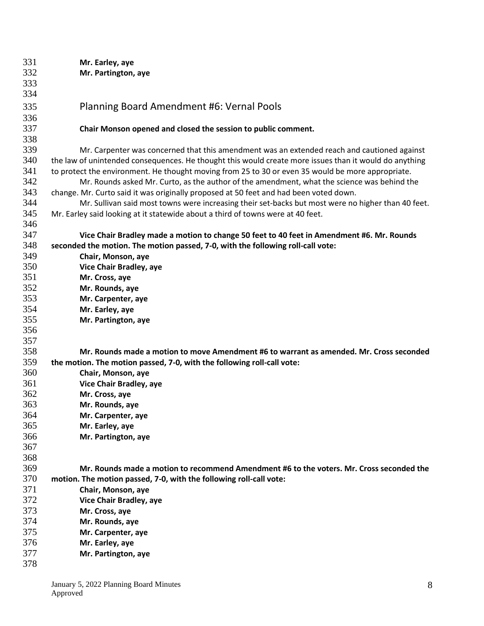| 331 | Mr. Earley, aye                                                                                        |
|-----|--------------------------------------------------------------------------------------------------------|
| 332 | Mr. Partington, aye                                                                                    |
| 333 |                                                                                                        |
| 334 |                                                                                                        |
| 335 | Planning Board Amendment #6: Vernal Pools                                                              |
| 336 |                                                                                                        |
| 337 | Chair Monson opened and closed the session to public comment.                                          |
| 338 |                                                                                                        |
| 339 | Mr. Carpenter was concerned that this amendment was an extended reach and cautioned against            |
| 340 | the law of unintended consequences. He thought this would create more issues than it would do anything |
| 341 | to protect the environment. He thought moving from 25 to 30 or even 35 would be more appropriate.      |
| 342 | Mr. Rounds asked Mr. Curto, as the author of the amendment, what the science was behind the            |
| 343 | change. Mr. Curto said it was originally proposed at 50 feet and had been voted down.                  |
| 344 | Mr. Sullivan said most towns were increasing their set-backs but most were no higher than 40 feet.     |
| 345 | Mr. Earley said looking at it statewide about a third of towns were at 40 feet.                        |
| 346 |                                                                                                        |
| 347 | Vice Chair Bradley made a motion to change 50 feet to 40 feet in Amendment #6. Mr. Rounds              |
| 348 | seconded the motion. The motion passed, 7-0, with the following roll-call vote:                        |
| 349 | Chair, Monson, aye                                                                                     |
| 350 | Vice Chair Bradley, aye                                                                                |
| 351 | Mr. Cross, aye                                                                                         |
| 352 | Mr. Rounds, aye                                                                                        |
| 353 | Mr. Carpenter, aye                                                                                     |
| 354 | Mr. Earley, aye                                                                                        |
| 355 | Mr. Partington, aye                                                                                    |
| 356 |                                                                                                        |
| 357 |                                                                                                        |
| 358 | Mr. Rounds made a motion to move Amendment #6 to warrant as amended. Mr. Cross seconded                |
| 359 | the motion. The motion passed, 7-0, with the following roll-call vote:                                 |
| 360 | Chair, Monson, aye                                                                                     |
| 361 | Vice Chair Bradley, aye                                                                                |
| 362 | Mr. Cross, aye                                                                                         |
| 363 | Mr. Rounds, aye                                                                                        |
| 364 | Mr. Carpenter, aye                                                                                     |
| 365 | Mr. Earley, aye                                                                                        |
| 366 | Mr. Partington, aye                                                                                    |
| 367 |                                                                                                        |
| 368 |                                                                                                        |
| 369 | Mr. Rounds made a motion to recommend Amendment #6 to the voters. Mr. Cross seconded the               |
| 370 | motion. The motion passed, 7-0, with the following roll-call vote:                                     |
| 371 | Chair, Monson, aye                                                                                     |
| 372 | Vice Chair Bradley, aye                                                                                |
| 373 | Mr. Cross, aye                                                                                         |
| 374 | Mr. Rounds, aye                                                                                        |
| 375 | Mr. Carpenter, aye                                                                                     |
| 376 | Mr. Earley, aye                                                                                        |
| 377 | Mr. Partington, aye                                                                                    |
| 378 |                                                                                                        |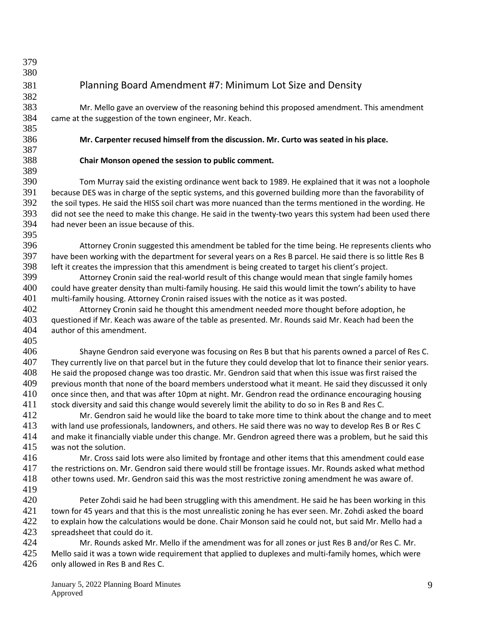## Planning Board Amendment #7: Minimum Lot Size and Density

383 Mr. Mello gave an overview of the reasoning behind this proposed amendment. This amendment 384 came at the suggestion of the town engineer, Mr. Keach. came at the suggestion of the town engineer, Mr. Keach.

 

**Mr. Carpenter recused himself from the discussion. Mr. Curto was seated in his place.**

## **Chair Monson opened the session to public comment.**

 Tom Murray said the existing ordinance went back to 1989. He explained that it was not a loophole because DES was in charge of the septic systems, and this governed building more than the favorability of the soil types. He said the HISS soil chart was more nuanced than the terms mentioned in the wording. He did not see the need to make this change. He said in the twenty-two years this system had been used there had never been an issue because of this. 

 Attorney Cronin suggested this amendment be tabled for the time being. He represents clients who have been working with the department for several years on a Res B parcel. He said there is so little Res B left it creates the impression that this amendment is being created to target his client's project.

 Attorney Cronin said the real-world result of this change would mean that single family homes could have greater density than multi-family housing. He said this would limit the town's ability to have multi-family housing. Attorney Cronin raised issues with the notice as it was posted.

 Attorney Cronin said he thought this amendment needed more thought before adoption, he questioned if Mr. Keach was aware of the table as presented. Mr. Rounds said Mr. Keach had been the author of this amendment.

406 Shayne Gendron said everyone was focusing on Res B but that his parents owned a parcel of Res C.<br>407 They currently live on that parcel but in the future they could develop that lot to finance their senior vears. They currently live on that parcel but in the future they could develop that lot to finance their senior years. He said the proposed change was too drastic. Mr. Gendron said that when this issue was first raised the 409 previous month that none of the board members understood what it meant. He said they discussed it only once since then, and that was after 10pm at night. Mr. Gendron read the ordinance encouraging housing stock diversity and said this change would severely limit the ability to do so in Res B and Res C.

 Mr. Gendron said he would like the board to take more time to think about the change and to meet with land use professionals, landowners, and others. He said there was no way to develop Res B or Res C and make it financially viable under this change. Mr. Gendron agreed there was a problem, but he said this was not the solution.

 Mr. Cross said lots were also limited by frontage and other items that this amendment could ease the restrictions on. Mr. Gendron said there would still be frontage issues. Mr. Rounds asked what method other towns used. Mr. Gendron said this was the most restrictive zoning amendment he was aware of. 

420 Peter Zohdi said he had been struggling with this amendment. He said he has been working in this town for 45 years and that this is the most unrealistic zoning he has ever seen. Mr. Zohdi asked the board 422 to explain how the calculations would be done. Chair Monson said he could not, but said Mr. Mello had a spreadsheet that could do it.

Mr. Rounds asked Mr. Mello if the amendment was for all zones or just Res B and/or Res C. Mr.

425 Mello said it was a town wide requirement that applied to duplexes and multi-family homes, which were 426 only allowed in Res B and Res C.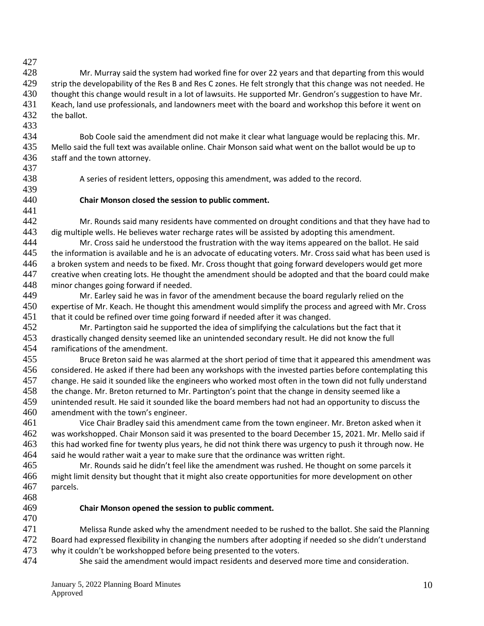428 Mr. Murray said the system had worked fine for over 22 years and that departing from this would 429 strip the developability of the Res B and Res C zones. He felt strongly that this change was not needed. He 430 thought this change would result in a lot of lawsuits. He supported Mr. Gendron's suggestion to have Mr.<br>431 Keach, land use professionals, and landowners meet with the board and workshop this before it went on 431 Keach, land use professionals, and landowners meet with the board and workshop this before it went on<br>432 the ballot the ballot.

- 434 Bob Coole said the amendment did not make it clear what language would be replacing this. Mr. 435 Mello said the full text was available online. Chair Monson said what went on the ballot would be up to 436 staff and the town attorney.
- 437

441

433

- 439
- 438 A series of resident letters, opposing this amendment, was added to the record.
- 440 **Chair Monson closed the session to public comment.**
- 442 Mr. Rounds said many residents have commented on drought conditions and that they have had to<br>443 dig multiple wells. He believes water recharge rates will be assisted by adopting this amendment. dig multiple wells. He believes water recharge rates will be assisted by adopting this amendment.
- 444 Mr. Cross said he understood the frustration with the way items appeared on the ballot. He said 445 the information is available and he is an advocate of educating voters. Mr. Cross said what has been used is 446 a broken system and needs to be fixed. Mr. Cross thought that going forward developers would get more 447 creative when creating lots. He thought the amendment should be adopted and that the board could make 448 minor changes going forward if needed.
- 449 Mr. Earley said he was in favor of the amendment because the board regularly relied on the 450 expertise of Mr. Keach. He thought this amendment would simplify the process and agreed with Mr. Cross 451 that it could be refined over time going forward if needed after it was changed.
- 452 Mr. Partington said he supported the idea of simplifying the calculations but the fact that it 453 drastically changed density seemed like an unintended secondary result. He did not know the full 454 ramifications of the amendment. ramifications of the amendment.
- 455 Bruce Breton said he was alarmed at the short period of time that it appeared this amendment was 456 considered. He asked if there had been any workshops with the invested parties before contemplating this 457 change. He said it sounded like the engineers who worked most often in the town did not fully understand 458 the change. Mr. Breton returned to Mr. Partington's point that the change in density seemed like a 459 unintended result. He said it sounded like the board members had not had an opportunity to discuss the 460 amendment with the town's engineer.
- 461 Vice Chair Bradley said this amendment came from the town engineer. Mr. Breton asked when it 462 was workshopped. Chair Monson said it was presented to the board December 15, 2021. Mr. Mello said if 463 this had worked fine for twenty plus years, he did not think there was urgency to push it through now. He 464 said he would rather wait a year to make sure that the ordinance was written right.<br>465 Mr. Rounds said he didn't feel like the amendment was rushed. He thought
- Mr. Rounds said he didn't feel like the amendment was rushed. He thought on some parcels it 466 might limit density but thought that it might also create opportunities for more development on other 467 parcels.
- 468
- 470
- 469 **Chair Monson opened the session to public comment.**
- 471 Melissa Runde asked why the amendment needed to be rushed to the ballot. She said the Planning 472 Board had expressed flexibility in changing the numbers after adopting if needed so she didn't understand 473 why it couldn't be workshopped before being presented to the voters.<br>474 She said the amendment would impact residents and deserved
- She said the amendment would impact residents and deserved more time and consideration.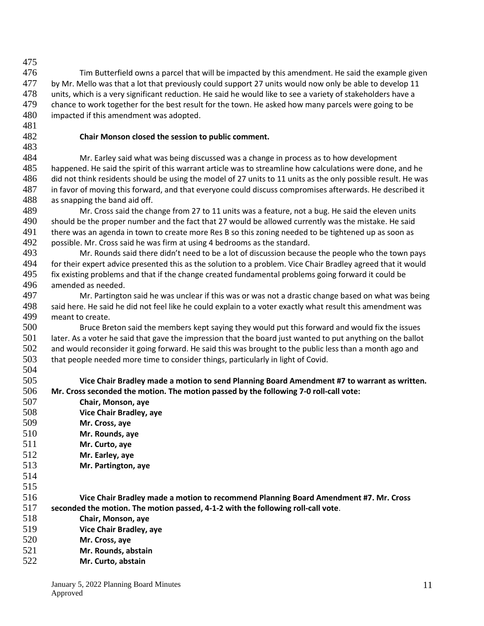476 Tim Butterfield owns a parcel that will be impacted by this amendment. He said the example given 477 by Mr. Mello was that a lot that previously could support 27 units would now only be able to develop 11 478 units, which is a very significant reduction. He said he would like to see a variety of stakeholders have a<br>479 chance to work together for the best result for the town. He asked how many parcels were going to be chance to work together for the best result for the town. He asked how many parcels were going to be impacted if this amendment was adopted.

## **Chair Monson closed the session to public comment.**

 Mr. Earley said what was being discussed was a change in process as to how development happened. He said the spirit of this warrant article was to streamline how calculations were done, and he did not think residents should be using the model of 27 units to 11 units as the only possible result. He was in favor of moving this forward, and that everyone could discuss compromises afterwards. He described it as snapping the band aid off.

 Mr. Cross said the change from 27 to 11 units was a feature, not a bug. He said the eleven units 490 should be the proper number and the fact that 27 would be allowed currently was the mistake. He said<br>491 there was an agenda in town to create more Res B so this zoning needed to be tightened up as soon as there was an agenda in town to create more Res B so this zoning needed to be tightened up as soon as possible. Mr. Cross said he was firm at using 4 bedrooms as the standard.

 Mr. Rounds said there didn't need to be a lot of discussion because the people who the town pays for their expert advice presented this as the solution to a problem. Vice Chair Bradley agreed that it would 495 fix existing problems and that if the change created fundamental problems going forward it could be amended as needed.

 Mr. Partington said he was unclear if this was or was not a drastic change based on what was being said here. He said he did not feel like he could explain to a voter exactly what result this amendment was meant to create.

 Bruce Breton said the members kept saying they would put this forward and would fix the issues 501 later. As a voter he said that gave the impression that the board just wanted to put anything on the ballot<br>502 and would reconsider it going forward. He said this was brought to the public less than a month ago and and would reconsider it going forward. He said this was brought to the public less than a month ago and that people needed more time to consider things, particularly in light of Covid. 

- **Vice Chair Bradley made a motion to send Planning Board Amendment #7 to warrant as written. Mr. Cross seconded the motion. The motion passed by the following 7-0 roll-call vote:**
- **Chair, Monson, aye Vice Chair Bradley, aye Mr. Cross, aye Mr. Rounds, aye Mr. Curto, aye Mr. Earley, aye Mr. Partington, aye Vice Chair Bradley made a motion to recommend Planning Board Amendment #7. Mr. Cross seconded the motion. The motion passed, 4-1-2 with the following roll-call vote**. **Chair, Monson, aye Vice Chair Bradley, aye Mr. Cross, aye**
- **Mr. Rounds, abstain**
	- **Mr. Curto, abstain**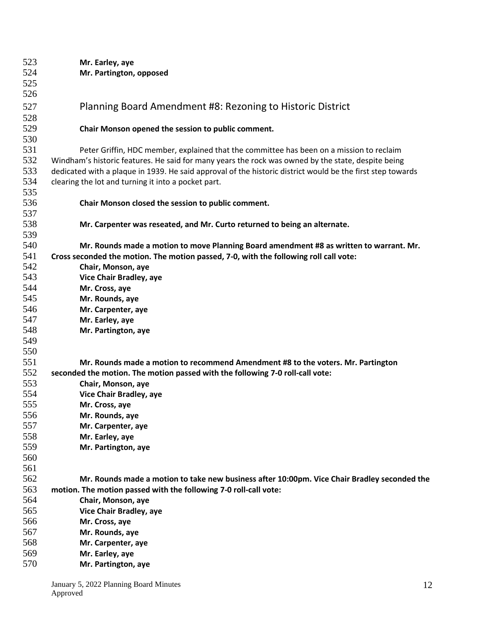| 523 | Mr. Earley, aye                                                                                            |
|-----|------------------------------------------------------------------------------------------------------------|
| 524 | Mr. Partington, opposed                                                                                    |
| 525 |                                                                                                            |
| 526 |                                                                                                            |
| 527 | Planning Board Amendment #8: Rezoning to Historic District                                                 |
| 528 |                                                                                                            |
| 529 | Chair Monson opened the session to public comment.                                                         |
| 530 |                                                                                                            |
| 531 | Peter Griffin, HDC member, explained that the committee has been on a mission to reclaim                   |
| 532 | Windham's historic features. He said for many years the rock was owned by the state, despite being         |
| 533 | dedicated with a plaque in 1939. He said approval of the historic district would be the first step towards |
| 534 | clearing the lot and turning it into a pocket part.                                                        |
| 535 |                                                                                                            |
| 536 | Chair Monson closed the session to public comment.                                                         |
| 537 |                                                                                                            |
| 538 | Mr. Carpenter was reseated, and Mr. Curto returned to being an alternate.                                  |
| 539 |                                                                                                            |
| 540 |                                                                                                            |
| 541 | Mr. Rounds made a motion to move Planning Board amendment #8 as written to warrant. Mr.                    |
| 542 | Cross seconded the motion. The motion passed, 7-0, with the following roll call vote:                      |
|     | Chair, Monson, aye                                                                                         |
| 543 | <b>Vice Chair Bradley, aye</b>                                                                             |
| 544 | Mr. Cross, aye                                                                                             |
| 545 | Mr. Rounds, aye                                                                                            |
| 546 | Mr. Carpenter, aye                                                                                         |
| 547 | Mr. Earley, aye                                                                                            |
| 548 | Mr. Partington, aye                                                                                        |
| 549 |                                                                                                            |
| 550 |                                                                                                            |
| 551 | Mr. Rounds made a motion to recommend Amendment #8 to the voters. Mr. Partington                           |
| 552 | seconded the motion. The motion passed with the following 7-0 roll-call vote:                              |
| 553 | Chair, Monson, aye                                                                                         |
| 554 | Vice Chair Bradley, aye                                                                                    |
| 555 | Mr. Cross, aye                                                                                             |
| 556 | Mr. Rounds, aye                                                                                            |
| 557 | Mr. Carpenter, aye                                                                                         |
| 558 | Mr. Earley, aye                                                                                            |
| 559 | Mr. Partington, aye                                                                                        |
| 560 |                                                                                                            |
| 561 |                                                                                                            |
| 562 | Mr. Rounds made a motion to take new business after 10:00pm. Vice Chair Bradley seconded the               |
| 563 | motion. The motion passed with the following 7-0 roll-call vote:                                           |
| 564 | Chair, Monson, aye                                                                                         |
| 565 | Vice Chair Bradley, aye                                                                                    |
| 566 | Mr. Cross, aye                                                                                             |
| 567 | Mr. Rounds, aye                                                                                            |
| 568 | Mr. Carpenter, aye                                                                                         |
| 569 | Mr. Earley, aye                                                                                            |
| 570 | Mr. Partington, aye                                                                                        |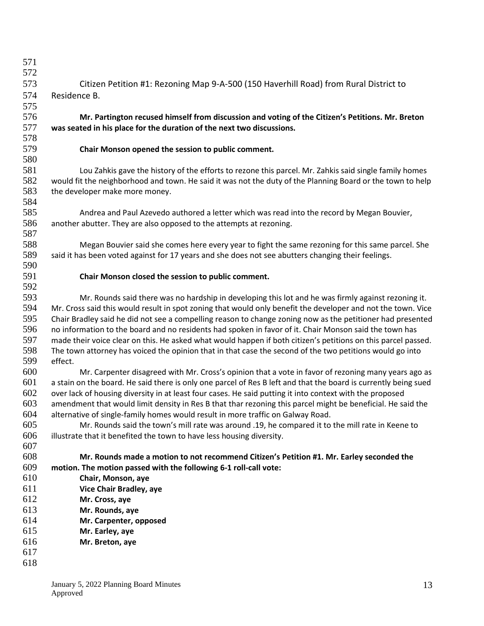| 571 |                                                                                                                 |
|-----|-----------------------------------------------------------------------------------------------------------------|
| 572 |                                                                                                                 |
| 573 | Citizen Petition #1: Rezoning Map 9-A-500 (150 Haverhill Road) from Rural District to                           |
| 574 | Residence B.                                                                                                    |
| 575 |                                                                                                                 |
| 576 | Mr. Partington recused himself from discussion and voting of the Citizen's Petitions. Mr. Breton                |
| 577 | was seated in his place for the duration of the next two discussions.                                           |
| 578 |                                                                                                                 |
| 579 | Chair Monson opened the session to public comment.                                                              |
| 580 |                                                                                                                 |
| 581 | Lou Zahkis gave the history of the efforts to rezone this parcel. Mr. Zahkis said single family homes           |
| 582 | would fit the neighborhood and town. He said it was not the duty of the Planning Board or the town to help      |
| 583 | the developer make more money.                                                                                  |
| 584 |                                                                                                                 |
| 585 | Andrea and Paul Azevedo authored a letter which was read into the record by Megan Bouvier,                      |
| 586 | another abutter. They are also opposed to the attempts at rezoning.                                             |
| 587 |                                                                                                                 |
| 588 | Megan Bouvier said she comes here every year to fight the same rezoning for this same parcel. She               |
| 589 | said it has been voted against for 17 years and she does not see abutters changing their feelings.              |
| 590 |                                                                                                                 |
| 591 | Chair Monson closed the session to public comment.                                                              |
| 592 |                                                                                                                 |
| 593 | Mr. Rounds said there was no hardship in developing this lot and he was firmly against rezoning it.             |
| 594 | Mr. Cross said this would result in spot zoning that would only benefit the developer and not the town. Vice    |
| 595 | Chair Bradley said he did not see a compelling reason to change zoning now as the petitioner had presented      |
| 596 | no information to the board and no residents had spoken in favor of it. Chair Monson said the town has          |
| 597 | made their voice clear on this. He asked what would happen if both citizen's petitions on this parcel passed.   |
| 598 | The town attorney has voiced the opinion that in that case the second of the two petitions would go into        |
| 599 | effect.                                                                                                         |
| 600 | Mr. Carpenter disagreed with Mr. Cross's opinion that a vote in favor of rezoning many years ago as             |
| 601 | a stain on the board. He said there is only one parcel of Res B left and that the board is currently being sued |
| 602 | over lack of housing diversity in at least four cases. He said putting it into context with the proposed        |
| 603 | amendment that would limit density in Res B that thar rezoning this parcel might be beneficial. He said the     |
| 604 | alternative of single-family homes would result in more traffic on Galway Road.                                 |
| 605 | Mr. Rounds said the town's mill rate was around .19, he compared it to the mill rate in Keene to                |
| 606 | illustrate that it benefited the town to have less housing diversity.                                           |
| 607 |                                                                                                                 |
| 608 | Mr. Rounds made a motion to not recommend Citizen's Petition #1. Mr. Earley seconded the                        |
| 609 | motion. The motion passed with the following 6-1 roll-call vote:                                                |
| 610 | Chair, Monson, aye                                                                                              |
| 611 | <b>Vice Chair Bradley, aye</b>                                                                                  |
| 612 | Mr. Cross, aye                                                                                                  |
| 613 | Mr. Rounds, aye                                                                                                 |
| 614 | Mr. Carpenter, opposed                                                                                          |
| 615 | Mr. Earley, aye                                                                                                 |
| 616 | Mr. Breton, aye                                                                                                 |
| 617 |                                                                                                                 |
| 618 |                                                                                                                 |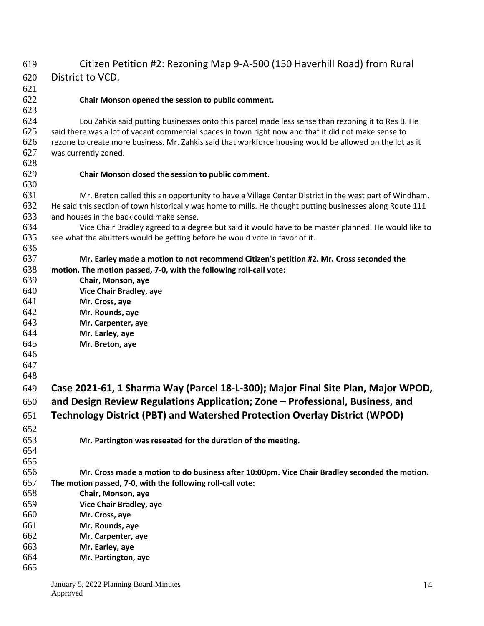| 619 | Citizen Petition #2: Rezoning Map 9-A-500 (150 Haverhill Road) from Rural                                  |
|-----|------------------------------------------------------------------------------------------------------------|
| 620 | District to VCD.                                                                                           |
| 621 |                                                                                                            |
| 622 | Chair Monson opened the session to public comment.                                                         |
| 623 |                                                                                                            |
| 624 | Lou Zahkis said putting businesses onto this parcel made less sense than rezoning it to Res B. He          |
| 625 | said there was a lot of vacant commercial spaces in town right now and that it did not make sense to       |
| 626 | rezone to create more business. Mr. Zahkis said that workforce housing would be allowed on the lot as it   |
| 627 | was currently zoned.                                                                                       |
| 628 |                                                                                                            |
| 629 | Chair Monson closed the session to public comment.                                                         |
| 630 |                                                                                                            |
| 631 | Mr. Breton called this an opportunity to have a Village Center District in the west part of Windham.       |
| 632 | He said this section of town historically was home to mills. He thought putting businesses along Route 111 |
| 633 | and houses in the back could make sense.                                                                   |
| 634 | Vice Chair Bradley agreed to a degree but said it would have to be master planned. He would like to        |
| 635 | see what the abutters would be getting before he would vote in favor of it.                                |
| 636 |                                                                                                            |
| 637 | Mr. Earley made a motion to not recommend Citizen's petition #2. Mr. Cross seconded the                    |
| 638 | motion. The motion passed, 7-0, with the following roll-call vote:                                         |
| 639 | Chair, Monson, aye                                                                                         |
| 640 | Vice Chair Bradley, aye                                                                                    |
| 641 | Mr. Cross, aye                                                                                             |
| 642 | Mr. Rounds, aye                                                                                            |
| 643 | Mr. Carpenter, aye                                                                                         |
| 644 | Mr. Earley, aye                                                                                            |
| 645 | Mr. Breton, aye                                                                                            |
| 646 |                                                                                                            |
| 647 |                                                                                                            |
| 648 |                                                                                                            |
| 649 | Case 2021-61, 1 Sharma Way (Parcel 18-L-300); Major Final Site Plan, Major WPOD,                           |
| 650 | and Design Review Regulations Application; Zone - Professional, Business, and                              |
| 651 | <b>Technology District (PBT) and Watershed Protection Overlay District (WPOD)</b>                          |
| 652 |                                                                                                            |
| 653 | Mr. Partington was reseated for the duration of the meeting.                                               |
| 654 |                                                                                                            |
| 655 |                                                                                                            |
| 656 | Mr. Cross made a motion to do business after 10:00pm. Vice Chair Bradley seconded the motion.              |
| 657 | The motion passed, 7-0, with the following roll-call vote:                                                 |
| 658 | Chair, Monson, aye                                                                                         |
| 659 | Vice Chair Bradley, aye                                                                                    |
| 660 | Mr. Cross, aye                                                                                             |
| 661 | Mr. Rounds, aye                                                                                            |
| 662 | Mr. Carpenter, aye                                                                                         |
| 663 | Mr. Earley, aye                                                                                            |
| 664 | Mr. Partington, aye                                                                                        |
| 665 |                                                                                                            |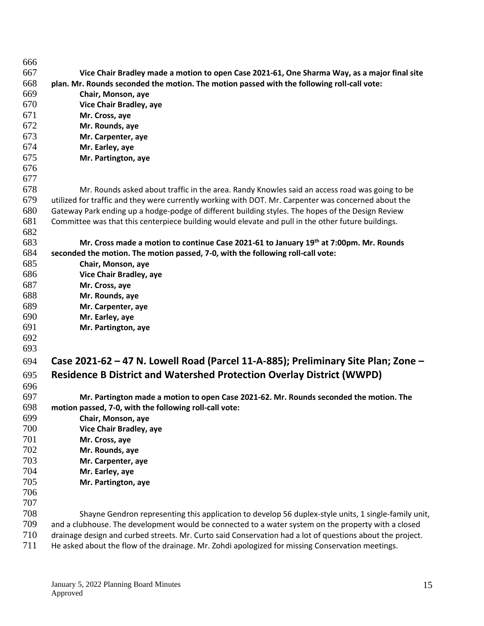| 666 |                                                                                                           |
|-----|-----------------------------------------------------------------------------------------------------------|
| 667 | Vice Chair Bradley made a motion to open Case 2021-61, One Sharma Way, as a major final site              |
| 668 | plan. Mr. Rounds seconded the motion. The motion passed with the following roll-call vote:                |
| 669 | Chair, Monson, aye                                                                                        |
| 670 | Vice Chair Bradley, aye                                                                                   |
| 671 | Mr. Cross, aye                                                                                            |
| 672 | Mr. Rounds, aye                                                                                           |
| 673 | Mr. Carpenter, aye                                                                                        |
| 674 | Mr. Earley, aye                                                                                           |
| 675 | Mr. Partington, aye                                                                                       |
| 676 |                                                                                                           |
| 677 |                                                                                                           |
| 678 | Mr. Rounds asked about traffic in the area. Randy Knowles said an access road was going to be             |
| 679 | utilized for traffic and they were currently working with DOT. Mr. Carpenter was concerned about the      |
| 680 | Gateway Park ending up a hodge-podge of different building styles. The hopes of the Design Review         |
| 681 | Committee was that this centerpiece building would elevate and pull in the other future buildings.        |
| 682 |                                                                                                           |
| 683 | Mr. Cross made a motion to continue Case 2021-61 to January 19th at 7:00pm. Mr. Rounds                    |
| 684 | seconded the motion. The motion passed, 7-0, with the following roll-call vote:                           |
| 685 | Chair, Monson, aye                                                                                        |
| 686 | Vice Chair Bradley, aye                                                                                   |
| 687 | Mr. Cross, aye                                                                                            |
| 688 | Mr. Rounds, aye                                                                                           |
| 689 | Mr. Carpenter, aye                                                                                        |
| 690 | Mr. Earley, aye                                                                                           |
| 691 | Mr. Partington, aye                                                                                       |
| 692 |                                                                                                           |
| 693 |                                                                                                           |
| 694 | Case 2021-62 - 47 N. Lowell Road (Parcel 11-A-885); Preliminary Site Plan; Zone -                         |
| 695 | <b>Residence B District and Watershed Protection Overlay District (WWPD)</b>                              |
| 696 |                                                                                                           |
| 697 | Mr. Partington made a motion to open Case 2021-62. Mr. Rounds seconded the motion. The                    |
| 698 | motion passed, 7-0, with the following roll-call vote:                                                    |
| 699 | Chair, Monson, aye                                                                                        |
| 700 | Vice Chair Bradley, aye                                                                                   |
| 701 | Mr. Cross, aye                                                                                            |
| 702 | Mr. Rounds, aye                                                                                           |
| 703 | Mr. Carpenter, aye                                                                                        |
| 704 | Mr. Earley, aye                                                                                           |
| 705 | Mr. Partington, aye                                                                                       |
| 706 |                                                                                                           |
| 707 |                                                                                                           |
| 708 | Shayne Gendron representing this application to develop 56 duplex-style units, 1 single-family unit,      |
| 709 | and a clubhouse. The development would be connected to a water system on the property with a closed       |
| 710 | drainage design and curbed streets. Mr. Curto said Conservation had a lot of questions about the project. |
| 711 | He asked about the flow of the drainage. Mr. Zohdi apologized for missing Conservation meetings.          |